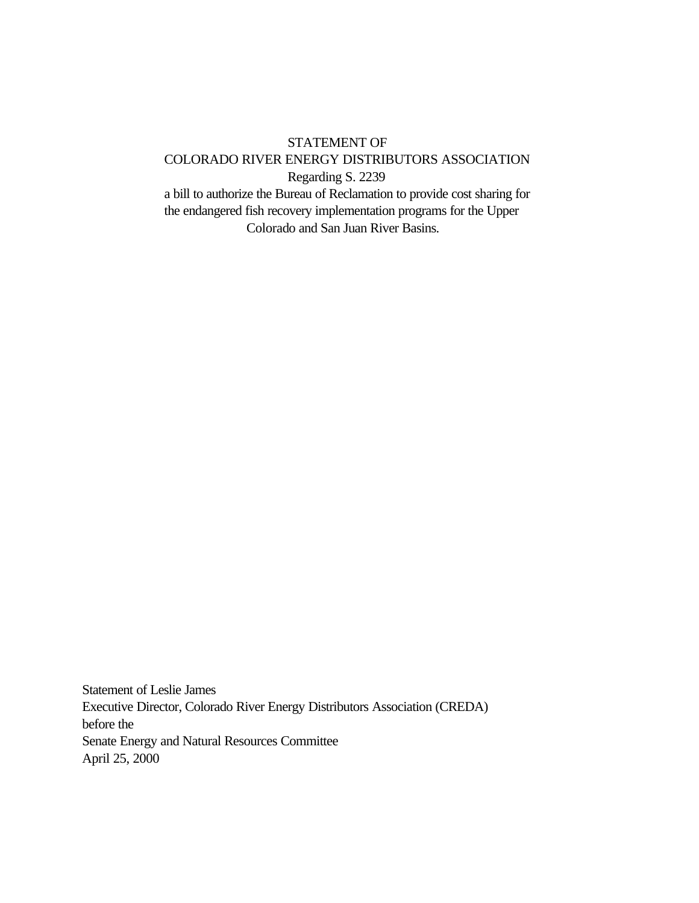## STATEMENT OF COLORADO RIVER ENERGY DISTRIBUTORS ASSOCIATION Regarding S. 2239 a bill to authorize the Bureau of Reclamation to provide cost sharing for the endangered fish recovery implementation programs for the Upper

Colorado and San Juan River Basins.

Statement of Leslie James Executive Director, Colorado River Energy Distributors Association (CREDA) before the Senate Energy and Natural Resources Committee April 25, 2000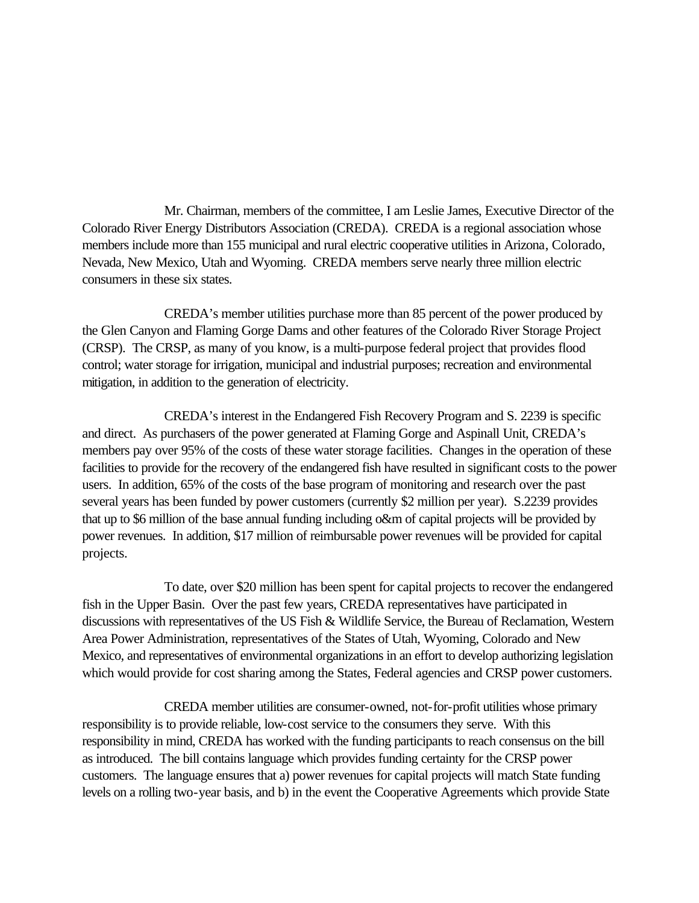Mr. Chairman, members of the committee, I am Leslie James, Executive Director of the Colorado River Energy Distributors Association (CREDA). CREDA is a regional association whose members include more than 155 municipal and rural electric cooperative utilities in Arizona, Colorado, Nevada, New Mexico, Utah and Wyoming. CREDA members serve nearly three million electric consumers in these six states.

CREDA's member utilities purchase more than 85 percent of the power produced by the Glen Canyon and Flaming Gorge Dams and other features of the Colorado River Storage Project (CRSP). The CRSP, as many of you know, is a multi-purpose federal project that provides flood control; water storage for irrigation, municipal and industrial purposes; recreation and environmental mitigation, in addition to the generation of electricity.

CREDA's interest in the Endangered Fish Recovery Program and S. 2239 is specific and direct. As purchasers of the power generated at Flaming Gorge and Aspinall Unit, CREDA's members pay over 95% of the costs of these water storage facilities. Changes in the operation of these facilities to provide for the recovery of the endangered fish have resulted in significant costs to the power users. In addition, 65% of the costs of the base program of monitoring and research over the past several years has been funded by power customers (currently \$2 million per year). S.2239 provides that up to \$6 million of the base annual funding including o&m of capital projects will be provided by power revenues. In addition, \$17 million of reimbursable power revenues will be provided for capital projects.

To date, over \$20 million has been spent for capital projects to recover the endangered fish in the Upper Basin. Over the past few years, CREDA representatives have participated in discussions with representatives of the US Fish & Wildlife Service, the Bureau of Reclamation, Western Area Power Administration, representatives of the States of Utah, Wyoming, Colorado and New Mexico, and representatives of environmental organizations in an effort to develop authorizing legislation which would provide for cost sharing among the States, Federal agencies and CRSP power customers.

CREDA member utilities are consumer-owned, not-for-profit utilities whose primary responsibility is to provide reliable, low-cost service to the consumers they serve. With this responsibility in mind, CREDA has worked with the funding participants to reach consensus on the bill as introduced. The bill contains language which provides funding certainty for the CRSP power customers. The language ensures that a) power revenues for capital projects will match State funding levels on a rolling two-year basis, and b) in the event the Cooperative Agreements which provide State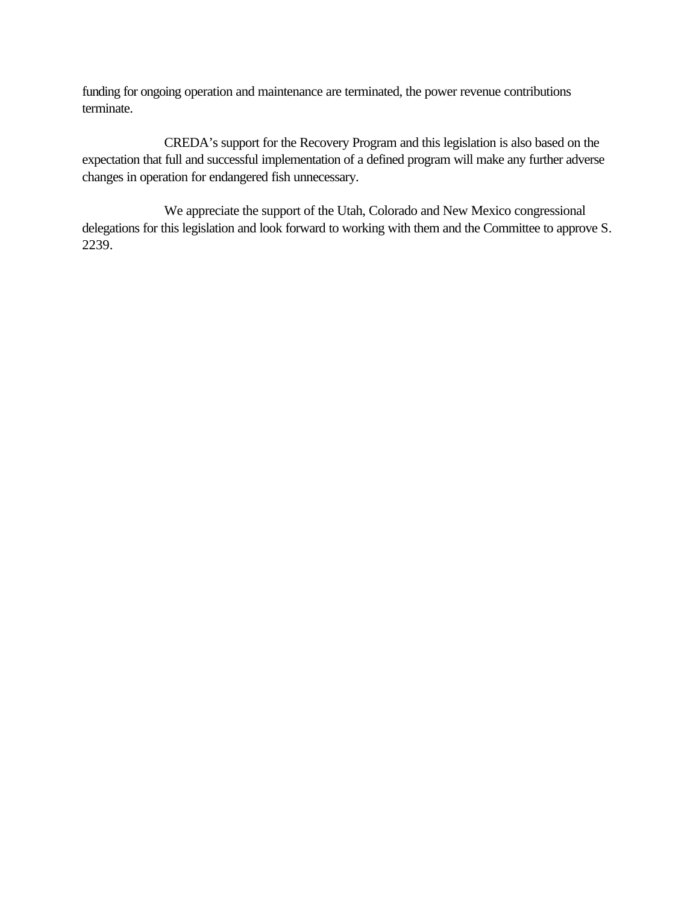funding for ongoing operation and maintenance are terminated, the power revenue contributions terminate.

CREDA's support for the Recovery Program and this legislation is also based on the expectation that full and successful implementation of a defined program will make any further adverse changes in operation for endangered fish unnecessary.

We appreciate the support of the Utah, Colorado and New Mexico congressional delegations for this legislation and look forward to working with them and the Committee to approve S. 2239.